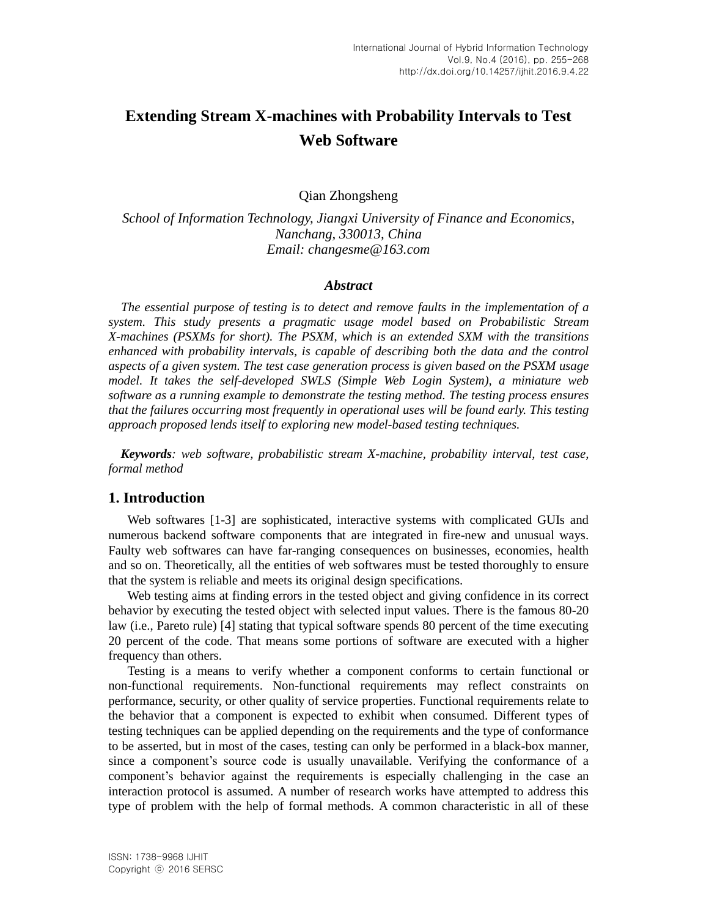# **Extending Stream X-machines with Probability Intervals to Test Web Software**

Qian Zhongsheng

*School of Information Technology, Jiangxi University of Finance and Economics, Nanchang, 330013, China Email: changesme@163.com*

#### *Abstract*

*The essential purpose of testing is to detect and remove faults in the implementation of a system. This study presents a pragmatic usage model based on Probabilistic Stream X-machines (PSXMs for short). The PSXM, which is an extended SXM with the transitions enhanced with probability intervals, is capable of describing both the data and the control aspects of a given system. The test case generation process is given based on the PSXM usage model. It takes the self-developed SWLS (Simple Web Login System), a miniature web software as a running example to demonstrate the testing method. The testing process ensures that the failures occurring most frequently in operational uses will be found early. This testing approach proposed lends itself to exploring new model-based testing techniques.*

*Keywords: web software, probabilistic stream X-machine, probability interval, test case, formal method*

#### **1. Introduction**

Web softwares [1-3] are sophisticated, interactive systems with complicated GUIs and numerous backend software components that are integrated in fire-new and unusual ways. Faulty web softwares can have far-ranging consequences on businesses, economies, health and so on. Theoretically, all the entities of web softwares must be tested thoroughly to ensure that the system is reliable and meets its original design specifications.

Web testing aims at finding errors in the tested object and giving confidence in its correct behavior by executing the tested object with selected input values. There is the famous 80-20 law (i.e., Pareto rule) [4] stating that typical software spends 80 percent of the time executing 20 percent of the code. That means some portions of software are executed with a higher frequency than others.

Testing is a means to verify whether a component conforms to certain functional or non-functional requirements. Non-functional requirements may reflect constraints on performance, security, or other quality of service properties. Functional requirements relate to the behavior that a component is expected to exhibit when consumed. Different types of testing techniques can be applied depending on the requirements and the type of conformance to be asserted, but in most of the cases, testing can only be performed in a black-box manner, since a component's source code is usually unavailable. Verifying the conformance of a component"s behavior against the requirements is especially challenging in the case an interaction protocol is assumed. A number of research works have attempted to address this type of problem with the help of formal methods. A common characteristic in all of these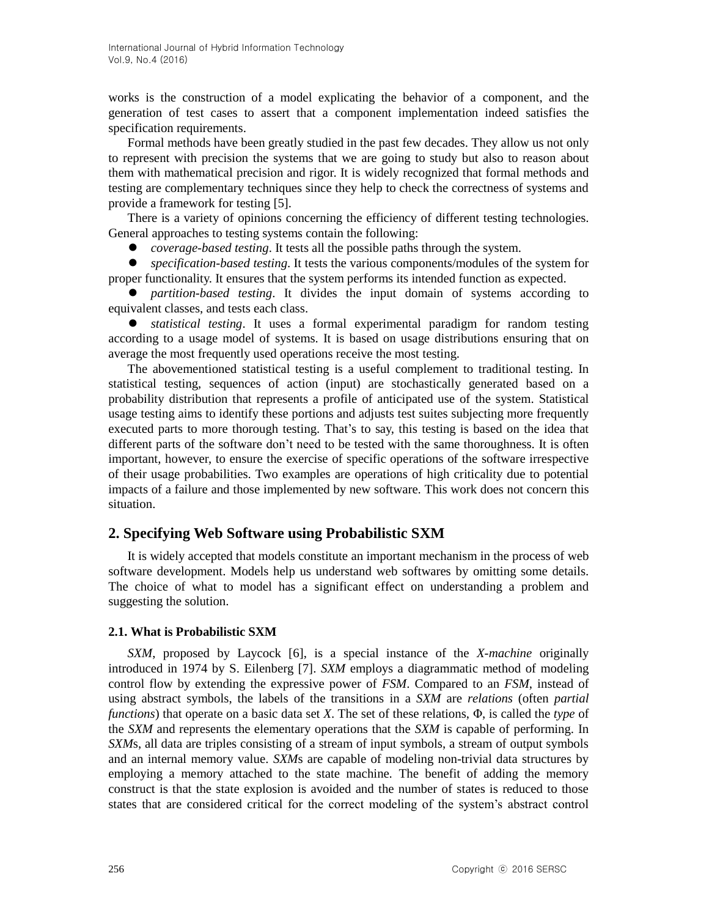works is the construction of a model explicating the behavior of a component, and the generation of test cases to assert that a component implementation indeed satisfies the specification requirements.

Formal methods have been greatly studied in the past few decades. They allow us not only to represent with precision the systems that we are going to study but also to reason about them with mathematical precision and rigor. It is widely recognized that formal methods and testing are complementary techniques since they help to check the correctness of systems and provide a framework for testing [5].

There is a variety of opinions concerning the efficiency of different testing technologies. General approaches to testing systems contain the following:

*coverage-based testing*. It tests all the possible paths through the system.

 *specification-based testing*. It tests the various components/modules of the system for proper functionality. It ensures that the system performs its intended function as expected.

 *partition-based testing*. It divides the input domain of systems according to equivalent classes, and tests each class.

 *statistical testing*. It uses a formal experimental paradigm for random testing according to a usage model of systems. It is based on usage distributions ensuring that on average the most frequently used operations receive the most testing.

The abovementioned statistical testing is a useful complement to traditional testing. In statistical testing, sequences of action (input) are stochastically generated based on a probability distribution that represents a profile of anticipated use of the system. Statistical usage testing aims to identify these portions and adjusts test suites subjecting more frequently executed parts to more thorough testing. That"s to say, this testing is based on the idea that different parts of the software don't need to be tested with the same thoroughness. It is often important, however, to ensure the exercise of specific operations of the software irrespective of their usage probabilities. Two examples are operations of high criticality due to potential impacts of a failure and those implemented by new software. This work does not concern this situation.

### **2. Specifying Web Software using Probabilistic SXM**

It is widely accepted that models constitute an important mechanism in the process of web software development. Models help us understand web softwares by omitting some details. The choice of what to model has a significant effect on understanding a problem and suggesting the solution.

#### **2.1. What is Probabilistic SXM**

*SXM*, proposed by Laycock [6], is a special instance of the *X-machine* originally introduced in 1974 by S. Eilenberg [7]. *SXM* employs a diagrammatic method of modeling control flow by extending the expressive power of *FSM*. Compared to an *FSM*, instead of using abstract symbols, the labels of the transitions in a *SXM* are *relations* (often *partial functions*) that operate on a basic data set *X*. The set of these relations, Φ, is called the *type* of the *SXM* and represents the elementary operations that the *SXM* is capable of performing. In *SXM*s, all data are triples consisting of a stream of input symbols, a stream of output symbols and an internal memory value. *SXM*s are capable of modeling non-trivial data structures by employing a memory attached to the state machine. The benefit of adding the memory construct is that the state explosion is avoided and the number of states is reduced to those states that are considered critical for the correct modeling of the system"s abstract control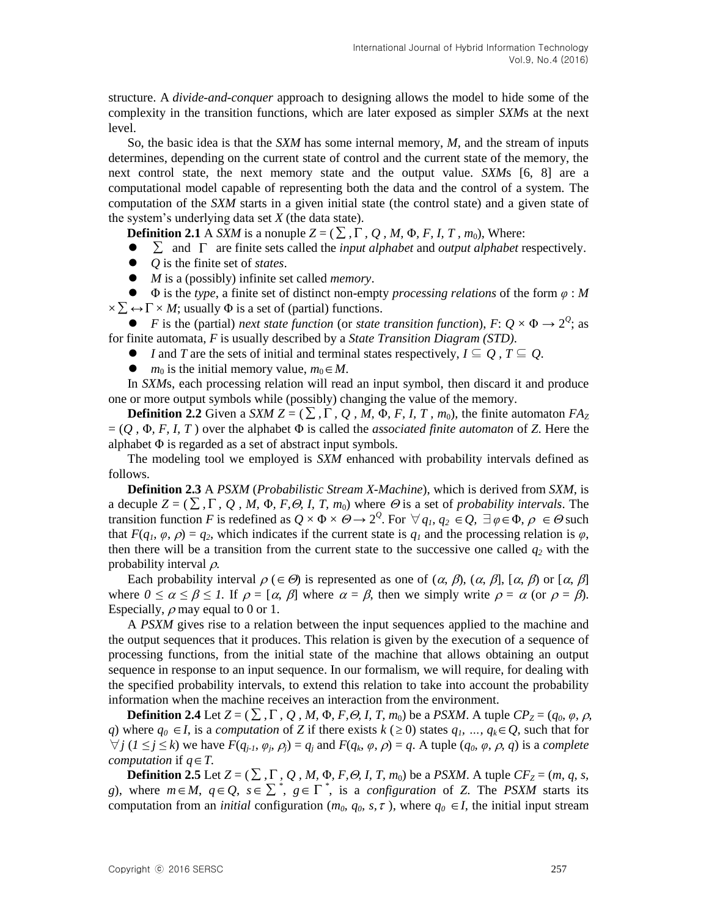structure. A *divide-and-conquer* approach to designing allows the model to hide some of the complexity in the transition functions, which are later exposed as simpler *SXM*s at the next level.

So, the basic idea is that the *SXM* has some internal memory, *M*, and the stream of inputs determines, depending on the current state of control and the current state of the memory, the next control state, the next memory state and the output value. *SXM*s [6, 8] are a computational model capable of representing both the data and the control of a system. The computation of the *SXM* starts in a given initial state (the control state) and a given state of the system"s underlying data set *X* (the data state).

**Definition 2.1** A *SXM* is a nonuple  $Z = (\sum_{i}^{n} \sum_{j}^{n} \sum_{j}^{n} \sum_{j}^{n} \sum_{j}^{n} \sum_{j}^{n} \sum_{j}^{n} \sum_{j}^{n} \sum_{j}^{n} \sum_{j}^{n} \sum_{j}^{n} \sum_{j}^{n} \sum_{j}^{n} \sum_{j}^{n} \sum_{j}^{n} \sum_{j}^{n} \sum_{j}^{n} \sum_{j}^{n} \sum_{j}^{n} \sum_{j}^{n} \sum_{j}^{n} \sum_{j}^{n} \sum_{j$ 

- $\bullet$  $\sum$  and  $\Gamma$  are finite sets called the *input alphabet* and *output alphabet* respectively.
- *Q* is the finite set of *states*.
- *M* is a (possibly) infinite set called *memory*.

 Φ is the *type*, a finite set of distinct non-empty *processing relations* of the form *φ* : *M*   $\times \sum \leftrightarrow \Gamma \times M$ ; usually  $\Phi$  is a set of (partial) functions.

• *F* is the (partial) *next state function* (or *state transition function*),  $F: Q \times \Phi \rightarrow 2^Q$ ; as for finite automata, *F* is usually described by a *State Transition Diagram (STD)*.

- $\bullet$  *I* and *T* are the sets of initial and terminal states respectively,  $I \subseteq Q$ ,  $T \subseteq Q$ .
- $m_0$  is the initial memory value,  $m_0 \in M$ .

In *SXM*s, each processing relation will read an input symbol, then discard it and produce one or more output symbols while (possibly) changing the value of the memory.

**Definition 2.2** Given a *SXM Z* = ( $\Sigma$ ,  $\Gamma$ ,  $Q$ , *M*,  $\Phi$ , *F*, *I*, *T*,  $m_0$ ), the finite automaton  $FA_Z$  $=(Q, \Phi, F, I, T)$  over the alphabet  $\Phi$  is called the *associated finite automaton* of *Z*. Here the alphabet Φ is regarded as a set of abstract input symbols.

The modeling tool we employed is *SXM* enhanced with probability intervals defined as follows.

**Definition 2.3** A *PSXM* (*Probabilistic Stream X-Machine*), which is derived from *SXM*, is a decuple  $Z = (\sum, \Gamma, Q, M, \Phi, F, \Theta, I, T, m_0)$  where  $\Theta$  is a set of *probability intervals*. The transition function *F* is redefined as  $Q \times \Phi \times \Theta \to 2^Q$ . For  $\forall q_1, q_2 \in Q$ ,  $\exists \varphi \in \Phi$ ,  $\rho \in \Theta$  such that  $F(q_1, \varphi, \rho) = q_2$ , which indicates if the current state is  $q_1$  and the processing relation is  $\varphi$ , then there will be a transition from the current state to the successive one called  $q_2$  with the probability interval  $\rho$ .

Each probability interval  $\rho \in \Theta$ ) is represented as one of  $(\alpha, \beta), (\alpha, \beta], [\alpha, \beta)$  or  $[\alpha, \beta]$ where  $0 \le \alpha \le \beta \le 1$ . If  $\rho = [\alpha, \beta]$  where  $\alpha = \beta$ , then we simply write  $\rho = \alpha$  (or  $\rho = \beta$ ). Especially,  $\rho$  may equal to 0 or 1.

A *PSXM* gives rise to a relation between the input sequences applied to the machine and the output sequences that it produces. This relation is given by the execution of a sequence of processing functions, from the initial state of the machine that allows obtaining an output sequence in response to an input sequence. In our formalism, we will require, for dealing with the specified probability intervals, to extend this relation to take into account the probability information when the machine receives an interaction from the environment.

**Definition 2.4** Let  $Z = (\sum, \Gamma, Q, M, \Phi, F, \Theta, I, T, m_0)$  be a *PSXM*. A tuple  $CP_Z = (q_0, \varphi, \rho, R_0)$ *q*) where  $q_0 \in I$ , is a *computation* of *Z* if there exists  $k$  ( $\geq 0$ ) states  $q_1$ , ...,  $q_k \in Q$ , such that for  $\forall j$  ( $1 \le j \le k$ ) we have  $F(q_{j-1}, \varphi_j, \rho_j) = q_j$  and  $F(q_k, \varphi, \rho) = q$ . A tuple  $(q_0, \varphi, \rho, q)$  is a complete *computation* if  $q \in T$ .

**Definition 2.5** Let  $Z = (\sum_i \Gamma_i, Q_i, M_i, \Phi_i, F, \Theta, I, T, m_0)$  be a *PSXM*. A tuple  $CF_Z = (m, q, s, T)$ *g*), where  $m \in M$ ,  $q \in Q$ ,  $s \in \sum^*$ ,  $g \in \Gamma^*$ , is a *configuration* of *Z*. The *PSXM* starts its computation from an *initial* configuration ( $m_0$ ,  $q_0$ , s,  $\tau$ ), where  $q_0 \in I$ , the initial input stream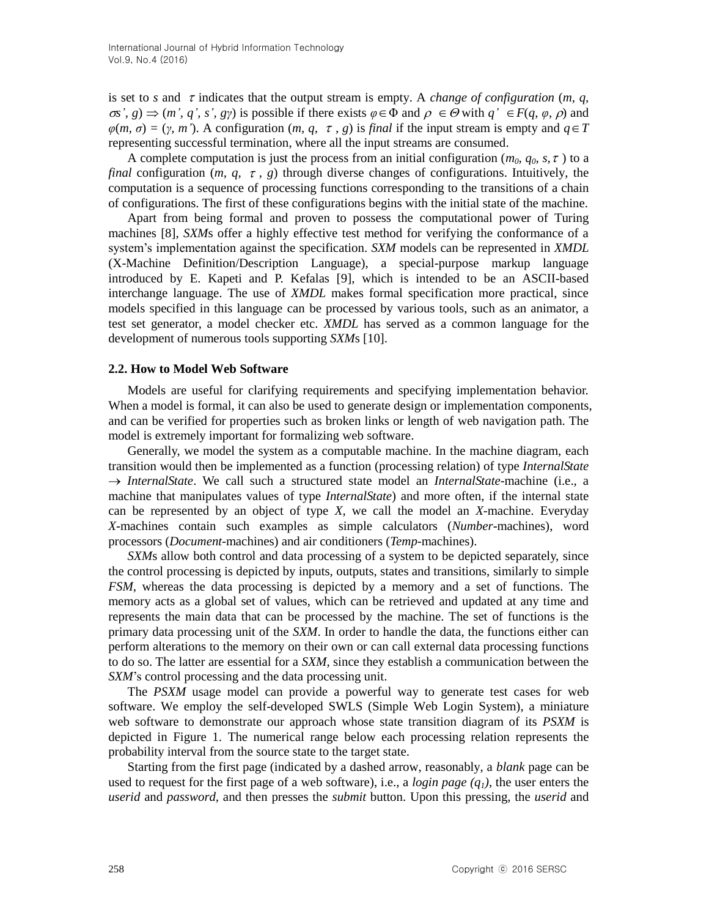is set to *s* and  $\tau$  indicates that the output stream is empty. A *change of configuration* (*m, q,*  $\sigma s'$ ,  $g$ )  $\Rightarrow$   $(m', q', s', g\gamma)$  is possible if there exists  $\varphi \in \Phi$  and  $\rho \in \Theta$  with  $q' \in F(q, \varphi, \rho)$  and  $\varphi(m, \sigma) = (\gamma, m')$ . A configuration  $(m, q, \tau, g)$  is *final* if the input stream is empty and  $q \in T$ representing successful termination, where all the input streams are consumed.

A complete computation is just the process from an initial configuration ( $m_0$ ,  $q_0$ ,  $s$ ,  $\tau$ ) to a *final* configuration  $(m, q, \tau, g)$  through diverse changes of configurations. Intuitively, the computation is a sequence of processing functions corresponding to the transitions of a chain of configurations. The first of these configurations begins with the initial state of the machine.

Apart from being formal and proven to possess the computational power of Turing machines [8], *SXM*s offer a highly effective test method for verifying the conformance of a system"s implementation against the specification. *SXM* models can be represented in *XMDL* (X-Machine Definition/Description Language), a special-purpose markup language introduced by E. Kapeti and P. Kefalas [9], which is intended to be an ASCII-based interchange language. The use of *XMDL* makes formal specification more practical, since models specified in this language can be processed by various tools, such as an animator, a test set generator, a model checker etc. *XMDL* has served as a common language for the development of numerous tools supporting *SXM*s [10].

#### **2.2. How to Model Web Software**

Models are useful for clarifying requirements and specifying implementation behavior. When a model is formal, it can also be used to generate design or implementation components, and can be verified for properties such as broken links or length of web navigation path. The model is extremely important for formalizing web software.

Generally, we model the system as a computable machine. In the machine diagram, each transition would then be implemented as a function (processing relation) of type *InternalState InternalState*. We call such a structured state model an *InternalState*-machine (i.e., a machine that manipulates values of type *InternalState*) and more often, if the internal state can be represented by an object of type *X*, we call the model an *X-*machine. Everyday *X*-machines contain such examples as simple calculators (*Number*-machines), word processors (*Document*-machines) and air conditioners (*Temp*-machines).

*SXM*s allow both control and data processing of a system to be depicted separately, since the control processing is depicted by inputs, outputs, states and transitions, similarly to simple *FSM*, whereas the data processing is depicted by a memory and a set of functions. The memory acts as a global set of values, which can be retrieved and updated at any time and represents the main data that can be processed by the machine. The set of functions is the primary data processing unit of the *SXM*. In order to handle the data, the functions either can perform alterations to the memory on their own or can call external data processing functions to do so. The latter are essential for a *SXM*, since they establish a communication between the *SXM*"s control processing and the data processing unit.

The *PSXM* usage model can provide a powerful way to generate test cases for web software. We employ the self-developed SWLS (Simple Web Login System), a miniature web software to demonstrate our approach whose state transition diagram of its *PSXM* is depicted in Figure 1. The numerical range below each processing relation represents the probability interval from the source state to the target state.

Starting from the first page (indicated by a dashed arrow, reasonably, a *blank* page can be used to request for the first page of a web software), i.e., a *login page (q1)*, the user enters the *userid* and *password,* and then presses the *submit* button. Upon this pressing, the *userid* and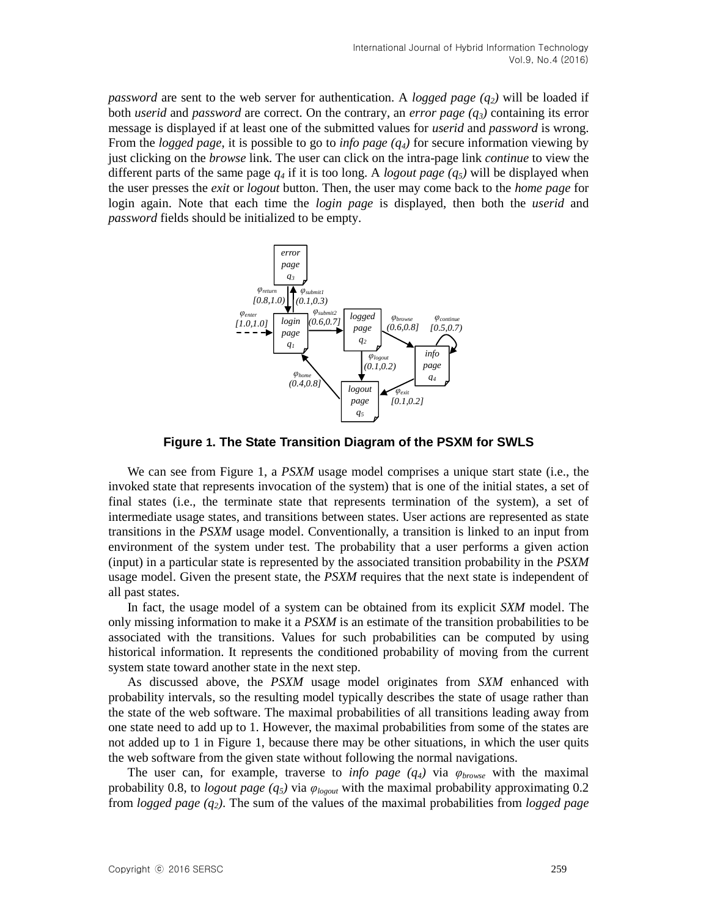*password* are sent to the web server for authentication. A *logged page (q2)* will be loaded if both *userid* and *password* are correct. On the contrary, an *error page (q3)* containing its error message is displayed if at least one of the submitted values for *userid* and *password* is wrong. From the *logged page*, it is possible to go to *info page (q4)* for secure information viewing by just clicking on the *browse* link. The user can click on the intra-page link *continue* to view the different parts of the same page  $q_4$  if it is too long. A *logout page (q<sub>5</sub>)* will be displayed when the user presses the *exit* or *logout* button. Then, the user may come back to the *home page* for login again. Note that each time the *login page* is displayed, then both the *userid* and *password* fields should be initialized to be empty.



**Figure 1. The State Transition Diagram of the PSXM for SWLS**

We can see from Figure 1, a *PSXM* usage model comprises a unique start state (i.e., the invoked state that represents invocation of the system) that is one of the initial states, a set of final states (i.e., the terminate state that represents termination of the system), a set of intermediate usage states, and transitions between states. User actions are represented as state transitions in the *PSXM* usage model. Conventionally, a transition is linked to an input from environment of the system under test. The probability that a user performs a given action (input) in a particular state is represented by the associated transition probability in the *PSXM* usage model. Given the present state, the *PSXM* requires that the next state is independent of all past states.

In fact, the usage model of a system can be obtained from its explicit *SXM* model. The only missing information to make it a *PSXM* is an estimate of the transition probabilities to be associated with the transitions. Values for such probabilities can be computed by using historical information. It represents the conditioned probability of moving from the current system state toward another state in the next step.

As discussed above, the *PSXM* usage model originates from *SXM* enhanced with probability intervals, so the resulting model typically describes the state of usage rather than the state of the web software. The maximal probabilities of all transitions leading away from one state need to add up to 1. However, the maximal probabilities from some of the states are not added up to 1 in Figure 1, because there may be other situations, in which the user quits the web software from the given state without following the normal navigations.

The user can, for example, traverse to *info page*  $(q_4)$  via  $\varphi_{browse}$  with the maximal probability 0.8, to *logout page (q5)* via *φlogout* with the maximal probability approximating 0.2 from *logged page (q2)*. The sum of the values of the maximal probabilities from *logged page*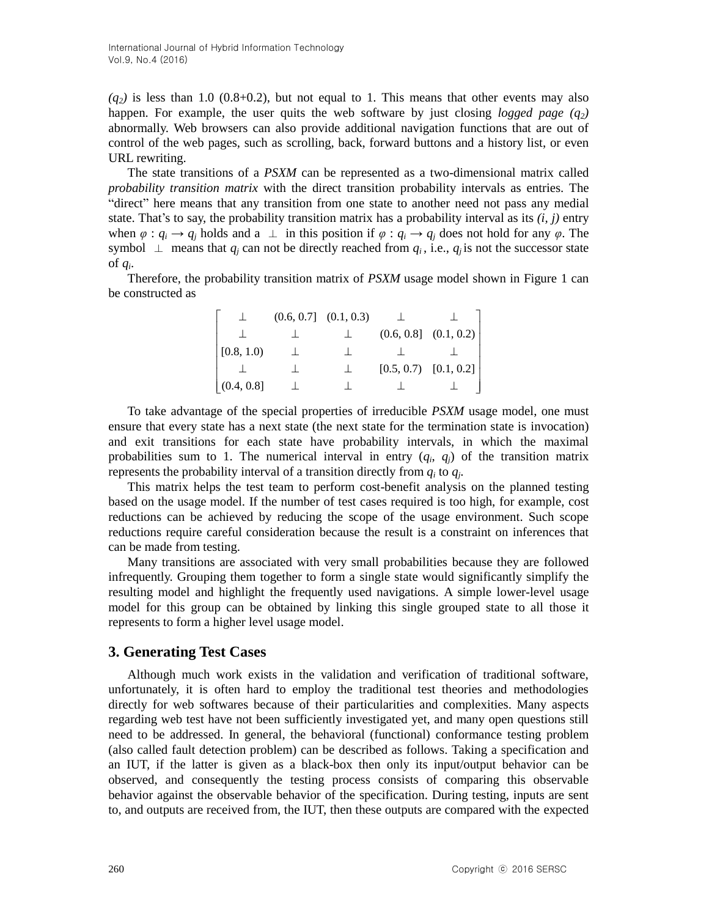$(q_2)$  is less than 1.0 (0.8+0.2), but not equal to 1. This means that other events may also happen. For example, the user quits the web software by just closing *logged page*  $(q_2)$ abnormally. Web browsers can also provide additional navigation functions that are out of control of the web pages, such as scrolling, back, forward buttons and a history list, or even URL rewriting.

The state transitions of a *PSXM* can be represented as a two-dimensional matrix called *probability transition matrix* with the direct transition probability intervals as entries. The "direct" here means that any transition from one state to another need not pass any medial state. That's to say, the probability transition matrix has a probability interval as its  $(i, j)$  entry when  $\varphi : q_i \to q_j$  holds and a  $\perp$  in this position if  $\varphi : q_i \to q_j$  does not hold for any  $\varphi$ . The symbol  $\perp$  means that  $q_i$  can not be directly reached from  $q_i$ , i.e.,  $q_i$  is not the successor state of *q<sup>i</sup>* .

Therefore, the probability transition matrix of *PSXM* usage model shown in Figure 1 can be constructed as

|            | $(0.6, 0.7]$ $(0.1, 0.3)$ |  |                           |
|------------|---------------------------|--|---------------------------|
|            |                           |  | $(0.6, 0.8]$ $(0.1, 0.2)$ |
| [0.8, 1.0) |                           |  |                           |
|            |                           |  | $[0.5, 0.7)$ $[0.1, 0.2]$ |
| (0.4, 0.8] |                           |  |                           |

To take advantage of the special properties of irreducible *PSXM* usage model, one must ensure that every state has a next state (the next state for the termination state is invocation) and exit transitions for each state have probability intervals, in which the maximal probabilities sum to 1. The numerical interval in entry  $(q_i, q_j)$  of the transition matrix represents the probability interval of a transition directly from *q<sup>i</sup>* to *q<sup>j</sup>* .

This matrix helps the test team to perform cost-benefit analysis on the planned testing based on the usage model. If the number of test cases required is too high, for example, cost reductions can be achieved by reducing the scope of the usage environment. Such scope reductions require careful consideration because the result is a constraint on inferences that can be made from testing.

Many transitions are associated with very small probabilities because they are followed infrequently. Grouping them together to form a single state would significantly simplify the resulting model and highlight the frequently used navigations. A simple lower-level usage model for this group can be obtained by linking this single grouped state to all those it represents to form a higher level usage model.

### **3. Generating Test Cases**

Although much work exists in the validation and verification of traditional software, unfortunately, it is often hard to employ the traditional test theories and methodologies directly for web softwares because of their particularities and complexities. Many aspects regarding web test have not been sufficiently investigated yet, and many open questions still need to be addressed. In general, the behavioral (functional) conformance testing problem (also called fault detection problem) can be described as follows. Taking a specification and an IUT, if the latter is given as a black-box then only its input/output behavior can be observed, and consequently the testing process consists of comparing this observable behavior against the observable behavior of the specification. During testing, inputs are sent to, and outputs are received from, the IUT, then these outputs are compared with the expected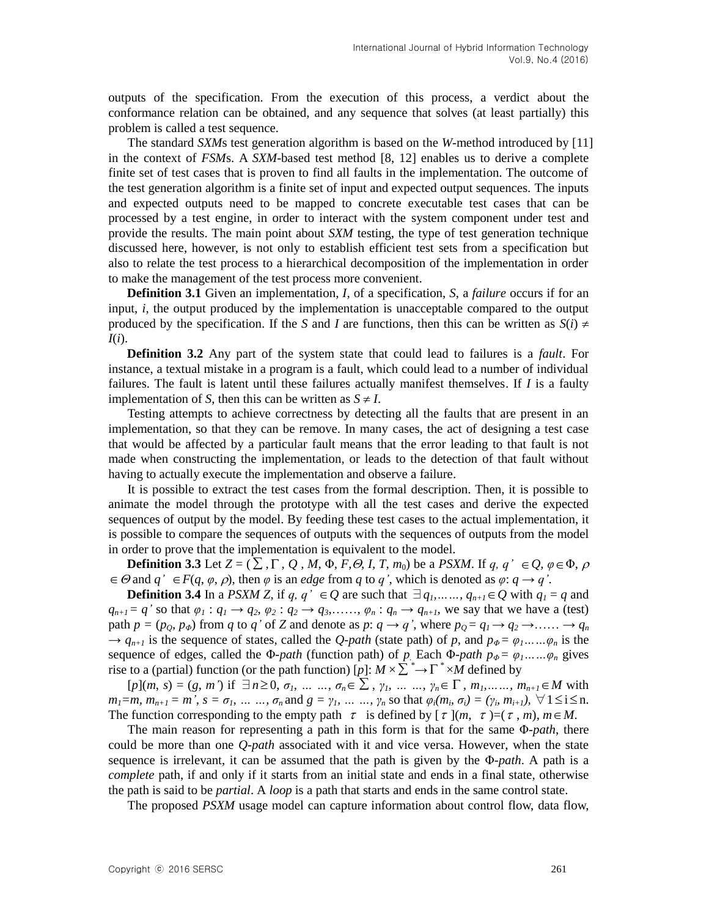outputs of the specification. From the execution of this process, a verdict about the conformance relation can be obtained, and any sequence that solves (at least partially) this problem is called a test sequence.

The standard *SXM*s test generation algorithm is based on the *W*-method introduced by [11] in the context of *FSM*s. A *SXM*-based test method [8, 12] enables us to derive a complete finite set of test cases that is proven to find all faults in the implementation. The outcome of the test generation algorithm is a finite set of input and expected output sequences. The inputs and expected outputs need to be mapped to concrete executable test cases that can be processed by a test engine, in order to interact with the system component under test and provide the results. The main point about *SXM* testing, the type of test generation technique discussed here, however, is not only to establish efficient test sets from a specification but also to relate the test process to a hierarchical decomposition of the implementation in order to make the management of the test process more convenient.

**Definition 3.1** Given an implementation, *I*, of a specification, *S*, a *failure* occurs if for an input, *i*, the output produced by the implementation is unacceptable compared to the output produced by the specification. If the *S* and *I* are functions, then this can be written as  $S(i) \neq$ *I*(*i*).

**Definition 3.2** Any part of the system state that could lead to failures is a *fault*. For instance, a textual mistake in a program is a fault, which could lead to a number of individual failures. The fault is latent until these failures actually manifest themselves. If *I* is a faulty implementation of *S*, then this can be written as  $S \neq I$ .

Testing attempts to achieve correctness by detecting all the faults that are present in an implementation, so that they can be remove. In many cases, the act of designing a test case that would be affected by a particular fault means that the error leading to that fault is not made when constructing the implementation, or leads to the detection of that fault without having to actually execute the implementation and observe a failure.

It is possible to extract the test cases from the formal description. Then, it is possible to animate the model through the prototype with all the test cases and derive the expected sequences of output by the model. By feeding these test cases to the actual implementation, it is possible to compare the sequences of outputs with the sequences of outputs from the model in order to prove that the implementation is equivalent to the model.

**Definition 3.3** Let  $Z = (\sum \n{, \Gamma, Q, M, \Phi, F, \Theta, I, T, m_0)}$  be a *PSXM*. If  $q, q' \in Q, \varphi \in \Phi, \rho$  $\in \Theta$  and  $q' \in F(q, \varphi, \rho)$ , then  $\varphi$  is an *edge* from  $q$  to  $q'$ , which is denoted as  $\varphi: q \to q'$ .

**Definition 3.4** In a *PSXM Z*, if *q, q'*  $\in Q$  are such that  $\exists q_1, \ldots, q_{n+1} \in Q$  with  $q_1 = q$  and  $q_{n+1} = q'$  so that  $\varphi_1 : q_1 \to q_2, \varphi_2 : q_2 \to q_3, \ldots, \varphi_n : q_n \to q_{n+1}$ , we say that we have a (test) path  $p = (p_0, p_{\phi})$  from *q* to *q'* of *Z* and denote as *p*:  $q \rightarrow q'$ , where  $p_0 = q_1 \rightarrow q_2 \rightarrow \ldots \rightarrow q_n$  $\rightarrow$   $q_{n+1}$  is the sequence of states, called the *Q-path* (state path) of *p*, and  $p_{\phi} = \varphi_1$ *……* $\varphi_n$  is the sequence of edges, called the Φ*-path* (function path) of *p*<sub>*.*</sub> Each Φ*-path*  $p_{\phi} = \varphi_1$ *……* $\varphi_n$  gives rise to a (partial) function (or the path function) [p]:  $M \times \sum^* \rightarrow \Gamma^* \times M$  defined by

 $[p](m, s) = (g, m')$  if  $\exists n \ge 0, \sigma_1, \ldots, \sigma_n \in \sum, \gamma_1, \ldots, \gamma_n \in \Gamma, m_1, \ldots, m_{n+1} \in M$  with  $m_1 = m$ ,  $m_{n+1} = m'$ ,  $s = \sigma_1$ , ... ...,  $\sigma_n$  and  $g = \gamma_1$ , ... ...,  $\gamma_n$  so that  $\varphi_i(m_i, \sigma_i) = (\gamma_i, m_{i+1}), \forall 1 \le i \le n$ . The function corresponding to the empty path  $\tau$  is defined by  $[\tau](m, \tau) = (\tau, m), m \in M$ .

The main reason for representing a path in this form is that for the same Φ*-path*, there could be more than one *Q-path* associated with it and vice versa. However, when the state sequence is irrelevant, it can be assumed that the path is given by the Φ*-path*. A path is a *complete* path, if and only if it starts from an initial state and ends in a final state, otherwise the path is said to be *partial*. A *loop* is a path that starts and ends in the same control state.

The proposed *PSXM* usage model can capture information about control flow, data flow,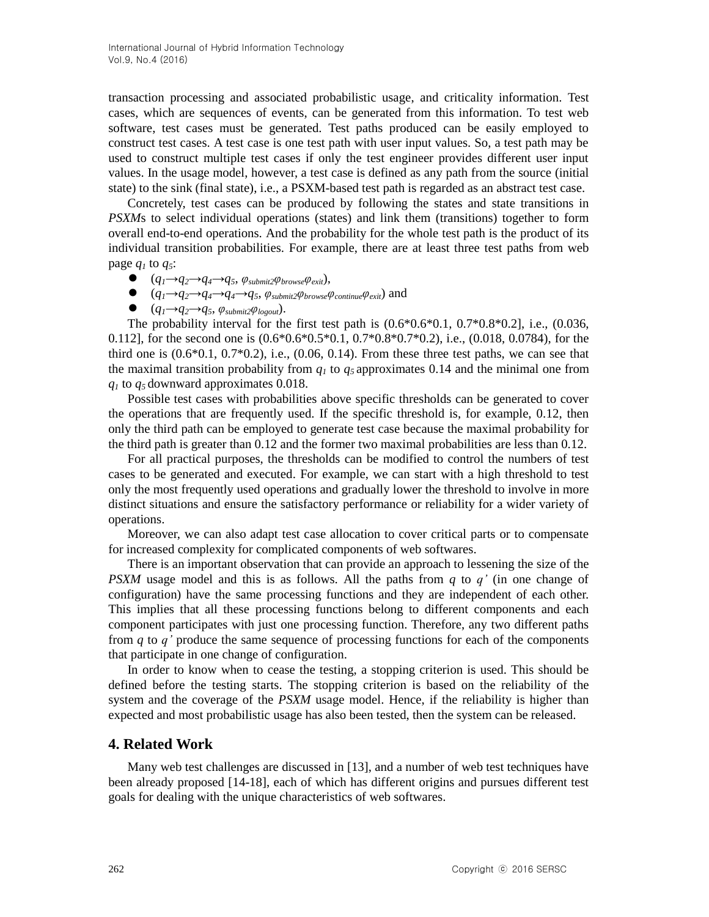transaction processing and associated probabilistic usage, and criticality information. Test cases, which are sequences of events, can be generated from this information. To test web software, test cases must be generated. Test paths produced can be easily employed to construct test cases. A test case is one test path with user input values. So, a test path may be used to construct multiple test cases if only the test engineer provides different user input values. In the usage model, however, a test case is defined as any path from the source (initial state) to the sink (final state), i.e., a PSXM-based test path is regarded as an abstract test case.

Concretely, test cases can be produced by following the states and state transitions in *PSXM*s to select individual operations (states) and link them (transitions) together to form overall end-to-end operations. And the probability for the whole test path is the product of its individual transition probabilities. For example, there are at least three test paths from web page  $q_1$  to  $q_5$ :

- $\bullet$   $(q_1 \rightarrow q_2 \rightarrow q_4 \rightarrow q_5, \, \varphi_{\textit{submit2}} \varphi_{\textit{browse}} \varphi_{\textit{exit}}),$
- $\bullet$   $(q_1 \rightarrow q_2 \rightarrow q_4 \rightarrow q_5, \, \varphi_{\textit{submit2}} \varphi_{\textit{browse}} \varphi_{\textit{continue}} \varphi_{\textit{exit}})$  and
- $\bullet$   $(q_1 \rightarrow q_2 \rightarrow q_5, \, \varphi_{\textit{submit2}} \varphi_{\textit{logout}}).$

The probability interval for the first test path is  $(0.6*0.6*0.1, 0.7*0.8*0.2)$ , i.e.,  $(0.036, 0.036)$ 0.112], for the second one is  $(0.6*0.6*0.5*0.1, 0.7*0.8*0.7*0.2)$ , i.e.,  $(0.018, 0.0784)$ , for the third one is  $(0.6*0.1, 0.7*0.2)$ , i.e.,  $(0.06, 0.14)$ . From these three test paths, we can see that the maximal transition probability from  $q_1$  to  $q_5$  approximates 0.14 and the minimal one from *q<sup>1</sup>* to *q<sup>5</sup>* downward approximates 0.018.

Possible test cases with probabilities above specific thresholds can be generated to cover the operations that are frequently used. If the specific threshold is, for example, 0.12, then only the third path can be employed to generate test case because the maximal probability for the third path is greater than 0.12 and the former two maximal probabilities are less than 0.12.

For all practical purposes, the thresholds can be modified to control the numbers of test cases to be generated and executed. For example, we can start with a high threshold to test only the most frequently used operations and gradually lower the threshold to involve in more distinct situations and ensure the satisfactory performance or reliability for a wider variety of operations.

Moreover, we can also adapt test case allocation to cover critical parts or to compensate for increased complexity for complicated components of web softwares.

There is an important observation that can provide an approach to lessening the size of the *PSXM* usage model and this is as follows. All the paths from *q* to *q'* (in one change of configuration) have the same processing functions and they are independent of each other. This implies that all these processing functions belong to different components and each component participates with just one processing function. Therefore, any two different paths from *q* to *q'* produce the same sequence of processing functions for each of the components that participate in one change of configuration.

In order to know when to cease the testing, a stopping criterion is used. This should be defined before the testing starts. The stopping criterion is based on the reliability of the system and the coverage of the *PSXM* usage model. Hence, if the reliability is higher than expected and most probabilistic usage has also been tested, then the system can be released.

### **4. Related Work**

Many web test challenges are discussed in [13], and a number of web test techniques have been already proposed [14-18], each of which has different origins and pursues different test goals for dealing with the unique characteristics of web softwares.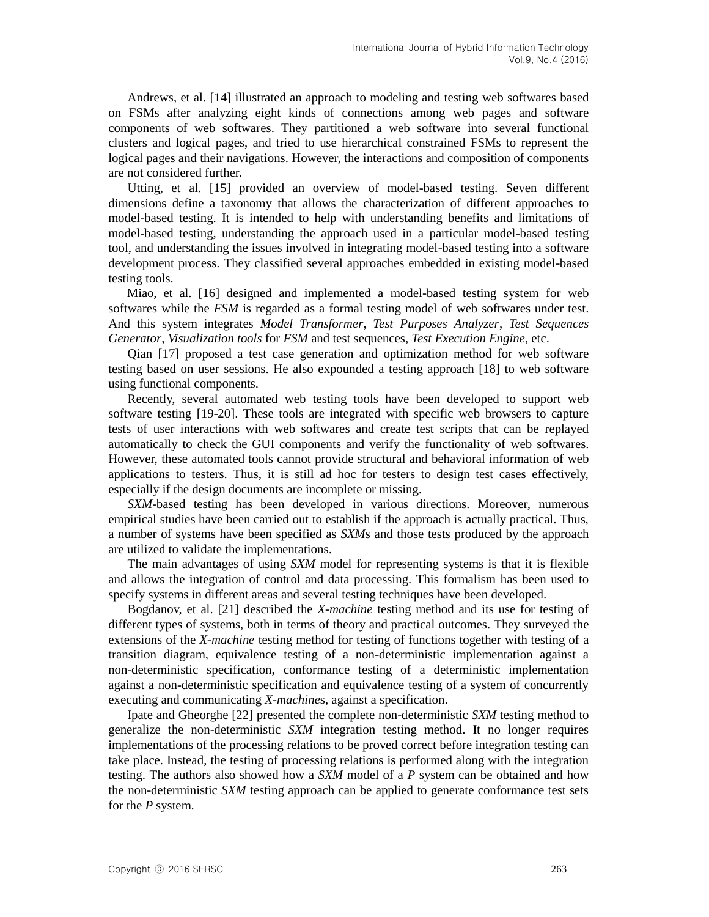Andrews, et al. [14] illustrated an approach to modeling and testing web softwares based on FSMs after analyzing eight kinds of connections among web pages and software components of web softwares. They partitioned a web software into several functional clusters and logical pages, and tried to use hierarchical constrained FSMs to represent the logical pages and their navigations. However, the interactions and composition of components are not considered further.

Utting, et al. [15] provided an overview of model-based testing. Seven different dimensions define a taxonomy that allows the characterization of different approaches to model-based testing. It is intended to help with understanding benefits and limitations of model-based testing, understanding the approach used in a particular model-based testing tool, and understanding the issues involved in integrating model-based testing into a software development process. They classified several approaches embedded in existing model-based testing tools.

Miao, et al. [16] designed and implemented a model-based testing system for web softwares while the *FSM* is regarded as a formal testing model of web softwares under test. And this system integrates *Model Transformer*, *Test Purposes Analyzer*, *Test Sequences Generator*, *Visualization tools* for *FSM* and test sequences, *Test Execution Engine*, etc.

Qian [17] proposed a test case generation and optimization method for web software testing based on user sessions. He also expounded a testing approach [18] to web software using functional components.

Recently, several automated web testing tools have been developed to support web software testing [19-20]. These tools are integrated with specific web browsers to capture tests of user interactions with web softwares and create test scripts that can be replayed automatically to check the GUI components and verify the functionality of web softwares. However, these automated tools cannot provide structural and behavioral information of web applications to testers. Thus, it is still ad hoc for testers to design test cases effectively, especially if the design documents are incomplete or missing.

*SXM*-based testing has been developed in various directions. Moreover, numerous empirical studies have been carried out to establish if the approach is actually practical. Thus, a number of systems have been specified as *SXM*s and those tests produced by the approach are utilized to validate the implementations.

The main advantages of using *SXM* model for representing systems is that it is flexible and allows the integration of control and data processing. This formalism has been used to specify systems in different areas and several testing techniques have been developed.

Bogdanov, et al. [21] described the *X-machine* testing method and its use for testing of different types of systems, both in terms of theory and practical outcomes. They surveyed the extensions of the *X-machine* testing method for testing of functions together with testing of a transition diagram, equivalence testing of a non-deterministic implementation against a non-deterministic specification, conformance testing of a deterministic implementation against a non-deterministic specification and equivalence testing of a system of concurrently executing and communicating *X-machine*s, against a specification.

Ipate and Gheorghe [22] presented the complete non-deterministic *SXM* testing method to generalize the non-deterministic *SXM* integration testing method. It no longer requires implementations of the processing relations to be proved correct before integration testing can take place. Instead, the testing of processing relations is performed along with the integration testing. The authors also showed how a *SXM* model of a *P* system can be obtained and how the non-deterministic *SXM* testing approach can be applied to generate conformance test sets for the *P* system.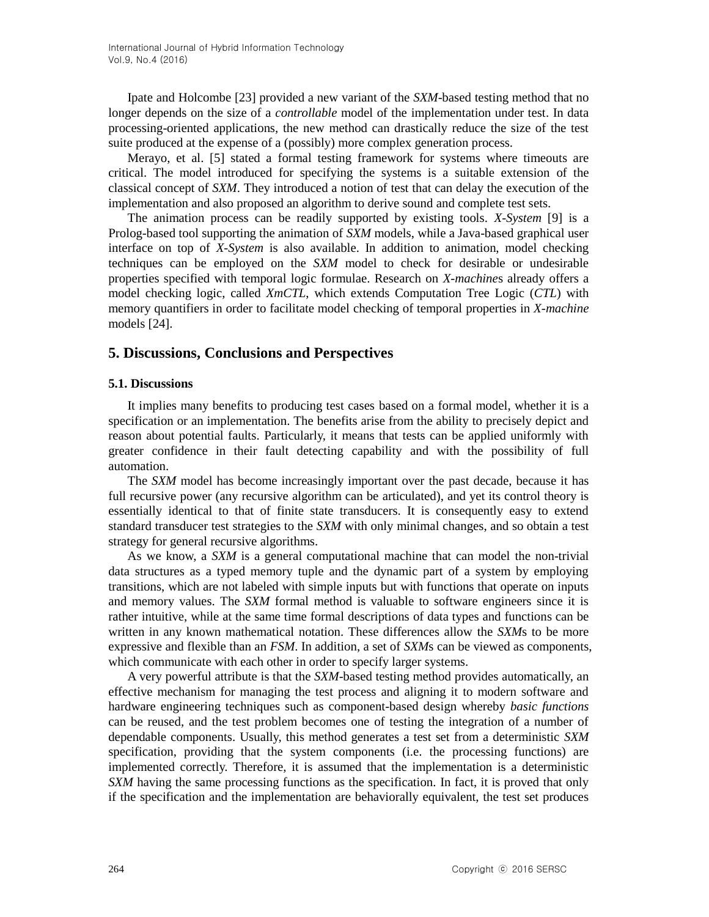Ipate and Holcombe [23] provided a new variant of the *SXM*-based testing method that no longer depends on the size of a *controllable* model of the implementation under test. In data processing-oriented applications, the new method can drastically reduce the size of the test suite produced at the expense of a (possibly) more complex generation process.

Merayo, et al. [5] stated a formal testing framework for systems where timeouts are critical. The model introduced for specifying the systems is a suitable extension of the classical concept of *SXM*. They introduced a notion of test that can delay the execution of the implementation and also proposed an algorithm to derive sound and complete test sets.

The animation process can be readily supported by existing tools. *X-System* [9] is a Prolog-based tool supporting the animation of *SXM* models, while a Java-based graphical user interface on top of *X-System* is also available. In addition to animation, model checking techniques can be employed on the *SXM* model to check for desirable or undesirable properties specified with temporal logic formulae. Research on *X-machine*s already offers a model checking logic, called *XmCTL*, which extends Computation Tree Logic (*CTL*) with memory quantifiers in order to facilitate model checking of temporal properties in *X-machine* models [24].

### **5. Discussions, Conclusions and Perspectives**

### **5.1. Discussions**

It implies many benefits to producing test cases based on a formal model, whether it is a specification or an implementation. The benefits arise from the ability to precisely depict and reason about potential faults. Particularly, it means that tests can be applied uniformly with greater confidence in their fault detecting capability and with the possibility of full automation.

The *SXM* model has become increasingly important over the past decade, because it has full recursive power (any recursive algorithm can be articulated), and yet its control theory is essentially identical to that of finite state transducers. It is consequently easy to extend standard transducer test strategies to the *SXM* with only minimal changes, and so obtain a test strategy for general recursive algorithms.

As we know, a *SXM* is a general computational machine that can model the non-trivial data structures as a typed memory tuple and the dynamic part of a system by employing transitions, which are not labeled with simple inputs but with functions that operate on inputs and memory values. The *SXM* formal method is valuable to software engineers since it is rather intuitive, while at the same time formal descriptions of data types and functions can be written in any known mathematical notation. These differences allow the *SXM*s to be more expressive and flexible than an *FSM*. In addition, a set of *SXM*s can be viewed as components, which communicate with each other in order to specify larger systems.

A very powerful attribute is that the *SXM*-based testing method provides automatically, an effective mechanism for managing the test process and aligning it to modern software and hardware engineering techniques such as component-based design whereby *basic functions* can be reused, and the test problem becomes one of testing the integration of a number of dependable components. Usually, this method generates a test set from a deterministic *SXM* specification, providing that the system components (i.e. the processing functions) are implemented correctly. Therefore, it is assumed that the implementation is a deterministic *SXM* having the same processing functions as the specification. In fact, it is proved that only if the specification and the implementation are behaviorally equivalent, the test set produces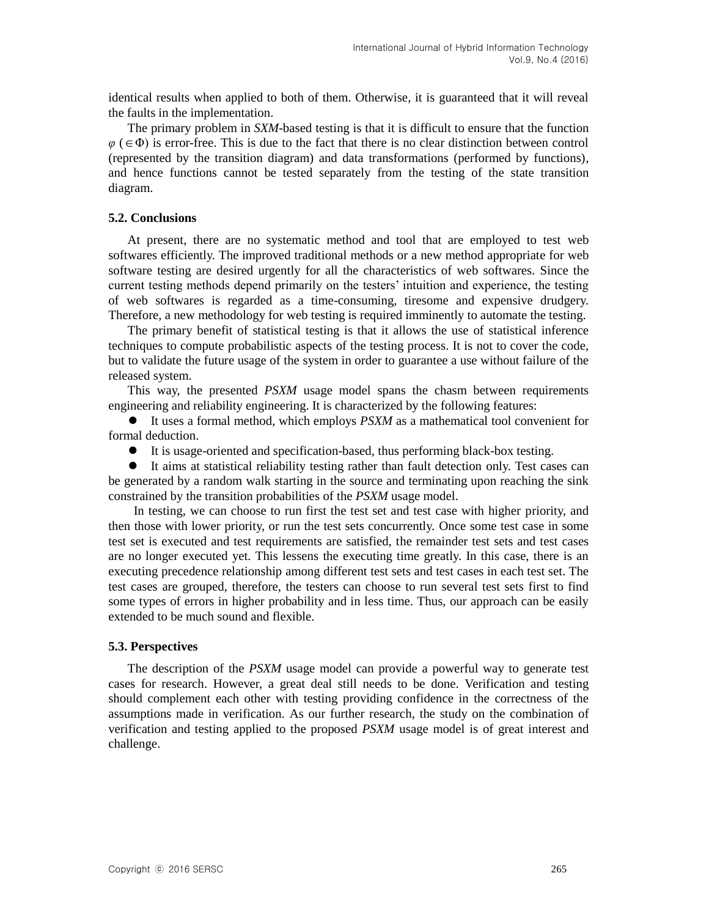identical results when applied to both of them. Otherwise, it is guaranteed that it will reveal the faults in the implementation.

The primary problem in *SXM*-based testing is that it is difficult to ensure that the function  $\varphi$  ( $\in$   $\Phi$ ) is error-free. This is due to the fact that there is no clear distinction between control (represented by the transition diagram) and data transformations (performed by functions), and hence functions cannot be tested separately from the testing of the state transition diagram.

### **5.2. Conclusions**

At present, there are no systematic method and tool that are employed to test web softwares efficiently. The improved traditional methods or a new method appropriate for web software testing are desired urgently for all the characteristics of web softwares. Since the current testing methods depend primarily on the testers" intuition and experience, the testing of web softwares is regarded as a time-consuming, tiresome and expensive drudgery. Therefore, a new methodology for web testing is required imminently to automate the testing.

The primary benefit of statistical testing is that it allows the use of statistical inference techniques to compute probabilistic aspects of the testing process. It is not to cover the code, but to validate the future usage of the system in order to guarantee a use without failure of the released system.

This way, the presented *PSXM* usage model spans the chasm between requirements engineering and reliability engineering. It is characterized by the following features:

 It uses a formal method, which employs *PSXM* as a mathematical tool convenient for formal deduction.

It is usage-oriented and specification-based, thus performing black-box testing.

 It aims at statistical reliability testing rather than fault detection only. Test cases can be generated by a random walk starting in the source and terminating upon reaching the sink constrained by the transition probabilities of the *PSXM* usage model.

In testing, we can choose to run first the test set and test case with higher priority, and then those with lower priority, or run the test sets concurrently. Once some test case in some test set is executed and test requirements are satisfied, the remainder test sets and test cases are no longer executed yet. This lessens the executing time greatly. In this case, there is an executing precedence relationship among different test sets and test cases in each test set. The test cases are grouped, therefore, the testers can choose to run several test sets first to find some types of errors in higher probability and in less time. Thus, our approach can be easily extended to be much sound and flexible.

#### **5.3. Perspectives**

The description of the *PSXM* usage model can provide a powerful way to generate test cases for research. However, a great deal still needs to be done. Verification and testing should complement each other with testing providing confidence in the correctness of the assumptions made in verification. As our further research, the study on the combination of verification and testing applied to the proposed *PSXM* usage model is of great interest and challenge.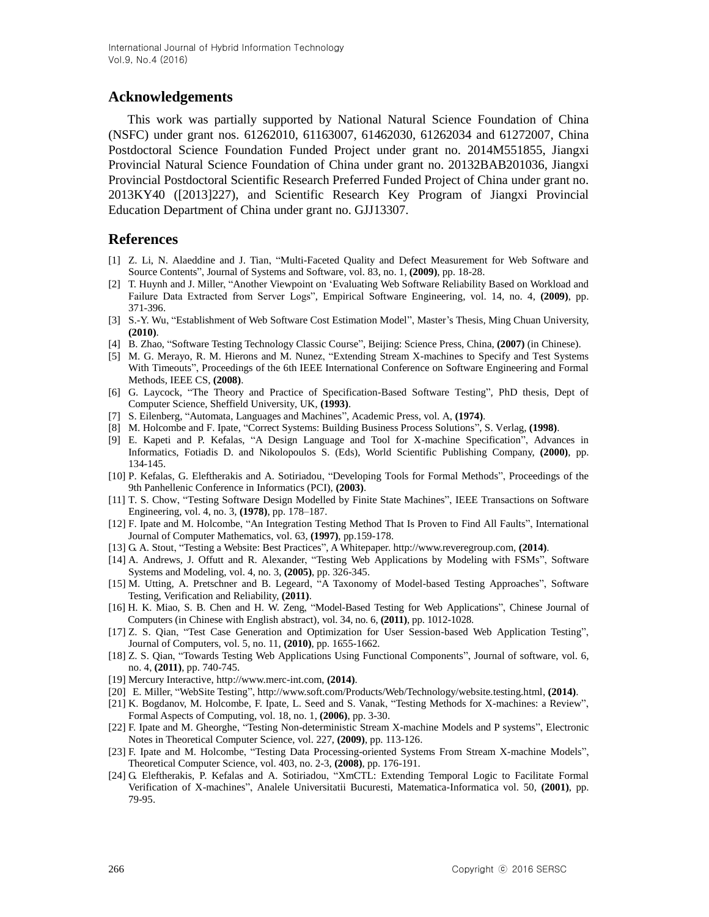# **Acknowledgements**

This work was partially supported by National Natural Science Foundation of China (NSFC) under grant nos. 61262010, 61163007, 61462030, 61262034 and 61272007, China Postdoctoral Science Foundation Funded Project under grant no. 2014M551855, Jiangxi Provincial Natural Science Foundation of China under grant no. 20132BAB201036, Jiangxi Provincial Postdoctoral Scientific Research Preferred Funded Project of China under grant no. 2013KY40 ([2013]227), and Scientific Research Key Program of Jiangxi Provincial Education Department of China under grant no. GJJ13307.

### **References**

- [1] Z. Li, N. Alaeddine and J. Tian, "Multi-Faceted Quality and Defect Measurement for Web Software and Source Contents", Journal of Systems and Software, vol. 83, no. 1, **(2009)**, pp. 18-28.
- [2] T. Huynh and J. Miller, "Another Viewpoint on "Evaluating Web Software Reliability Based on Workload and Failure Data Extracted from Server Logs", Empirical Software Engineering, vol. 14, no. 4, **(2009)**, pp. 371-396.
- [3] S.-Y. Wu, "Establishment of Web Software Cost Estimation Model", Master's Thesis, Ming Chuan University, **(2010)**.
- [4] B. Zhao, "Software Testing Technology Classic Course", Beijing: Science Press, China, **(2007)** (in Chinese).
- [5] M. G. Merayo, R. M. Hierons and M. Nunez, "Extending Stream X-machines to Specify and Test Systems With Timeouts", Proceedings of the 6th IEEE International Conference on Software Engineering and Formal Methods, IEEE CS, **(2008)**.
- [6] G. Laycock, "The Theory and Practice of Specification-Based Software Testing", PhD thesis, Dept of Computer Science, Sheffield University, UK, **(1993)**.
- [7] S. Eilenberg, "Automata, Languages and Machines", Academic Press, vol. A, **(1974)**.
- [8] M. Holcombe and F. Ipate, "Correct Systems: Building Business Process Solutions", S. Verlag, **(1998)**.
- [9] E. Kapeti and P. Kefalas, "A Design Language and Tool for X-machine Specification", Advances in Informatics, Fotiadis D. and Nikolopoulos S. (Eds), World Scientific Publishing Company, **(2000)**, pp. 134-145.
- [10] P. Kefalas, G. Eleftherakis and A. Sotiriadou, "Developing Tools for Formal Methods", Proceedings of the 9th Panhellenic Conference in Informatics (PCI), **(2003)**.
- [11] T. S. Chow, "Testing Software Design Modelled by Finite State Machines", IEEE Transactions on Software Engineering, vol. 4, no. 3, **(1978)**, pp. 178–187.
- [12] F. Ipate and M. Holcombe, "An Integration Testing Method That Is Proven to Find All Faults", International Journal of Computer Mathematics, vol. 63, **(1997)**, pp.159-178.
- [13] G. A. Stout, "Testing a Website: Best Practices", A Whitepaper. http://www.reveregroup.com, **(2014)**.
- [14] A. Andrews, J. Offutt and R. Alexander, "Testing Web Applications by Modeling with FSMs", Software Systems and Modeling, vol. 4, no. 3, **(2005)**, pp. 326-345.
- [15] M. Utting, A. Pretschner and B. Legeard, "A Taxonomy of Model-based Testing Approaches", Software Testing, Verification and Reliability, **(2011)**.
- [16] H. K. Miao, S. B. Chen and H. W. Zeng, "Model-Based Testing for Web Applications", Chinese Journal of Computers (in Chinese with English abstract), vol. 34, no. 6, **(2011)**, pp. 1012-1028.
- [17] Z. S. Qian, "Test Case Generation and Optimization for User Session-based Web Application Testing", Journal of Computers, vol. 5, no. 11, **(2010)**, pp. 1655-1662.
- [18] Z. S. Qian, "Towards Testing Web Applications Using Functional Components", Journal of software, vol. 6, no. 4, **(2011)**, pp. 740-745.
- [19] Mercury Interactive, http://www.merc-int.com, **(2014)**.
- [20] E. Miller, "WebSite Testing", http://www.soft.com/Products/Web/Technology/website.testing.html, **(2014)**.
- [21] K. Bogdanov, M. Holcombe, F. Ipate, L. Seed and S. Vanak, "Testing Methods for X-machines: a Review", Formal Aspects of Computing, vol. 18, no. 1, **(2006)**, pp. 3-30.
- [22] F. Ipate and M. Gheorghe, "Testing Non-deterministic Stream X-machine Models and P systems", Electronic Notes in Theoretical Computer Science, vol. 227, **(2009)**, pp. 113-126.
- [23] F. Ipate and M. Holcombe, "Testing Data Processing-oriented Systems From Stream X-machine Models", Theoretical Computer Science, vol. 403, no. 2-3, **(2008)**, pp. 176-191.
- [24] G. Eleftherakis, P. Kefalas and A. Sotiriadou, "XmCTL: Extending Temporal Logic to Facilitate Formal Verification of X-machines", Analele Universitatii Bucuresti, Matematica-Informatica vol. 50, **(2001)**, pp. 79-95.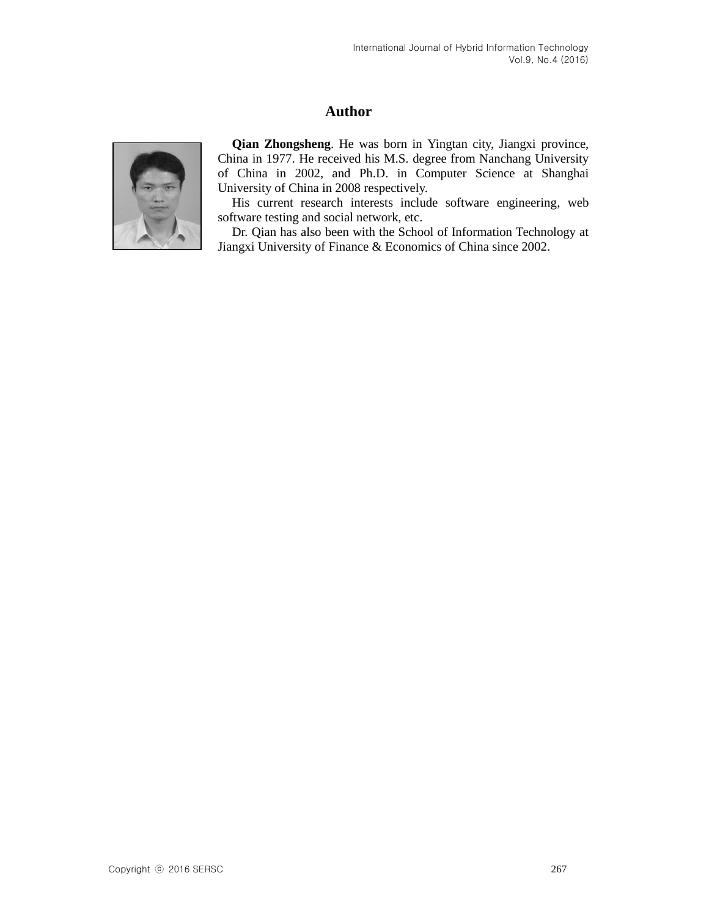# **Author**



**Qian Zhongsheng**. He was born in Yingtan city, Jiangxi province, China in 1977. He received his M.S. degree from Nanchang University of China in 2002, and Ph.D. in Computer Science at Shanghai University of China in 2008 respectively.

His current research interests include software engineering, web software testing and social network, etc.

Dr. Qian has also been with the School of Information Technology at Jiangxi University of Finance & Economics of China since 2002.